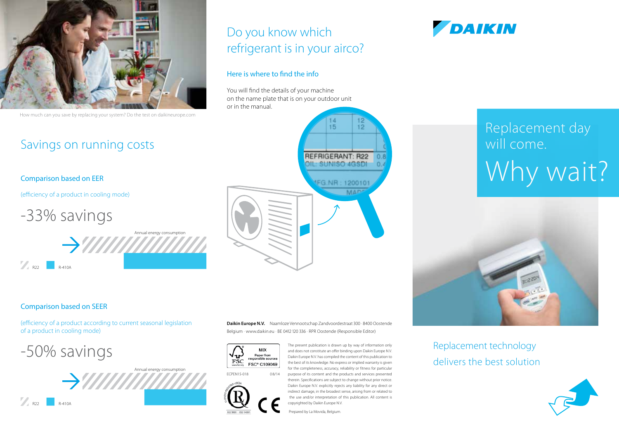

How much can you save by replacing your system? Do the test on daikineurope.com

### Savings on running costs

### Comparison based on EER

(efficiency of a product in cooling mode)

-33% savings



### Here is where to find the info

You will find the details of your machine on the name plate that is on your outdoor unit or in the manual.



## **DAIKIN**

# Replacement day will come. Why wait?



### Comparison based on SEER

R22 **R-410A** 

(efficiency of a product according to current seasonal legislation of a product in cooling mode)

-50% savings



**Daikin Europe N.V.** Naamloze Vennootschap Zandvoordestraat 300 · 8400 Oostende Belgium · www.daikin.eu · BE 0412 120 336 · RPR Oostende (Responsible Editor)



ECPEN15-018 0 8/14

The present publication is drawn up by way of information only and does not constitute an offer binding upon Daikin Europe N.V. Daikin Europe N.V. has compiled the content of this publication to the best of its knowledge. No express or implied warranty is given for the completeness, accuracy, reliability or fitness for particular purpose of its content and the products and services presented therein. Specifications are subject to change without prior notice. Daikin Europe N.V. explicitly rejects any liability for any direct or indirect damage, in the broadest sense, arising from or related to the use and/or interpretation of this publication. All content is copyrighted by Daikin Europe N.V. Prepared by La Movida, Belgium.

Replacement technology delivers the best solution